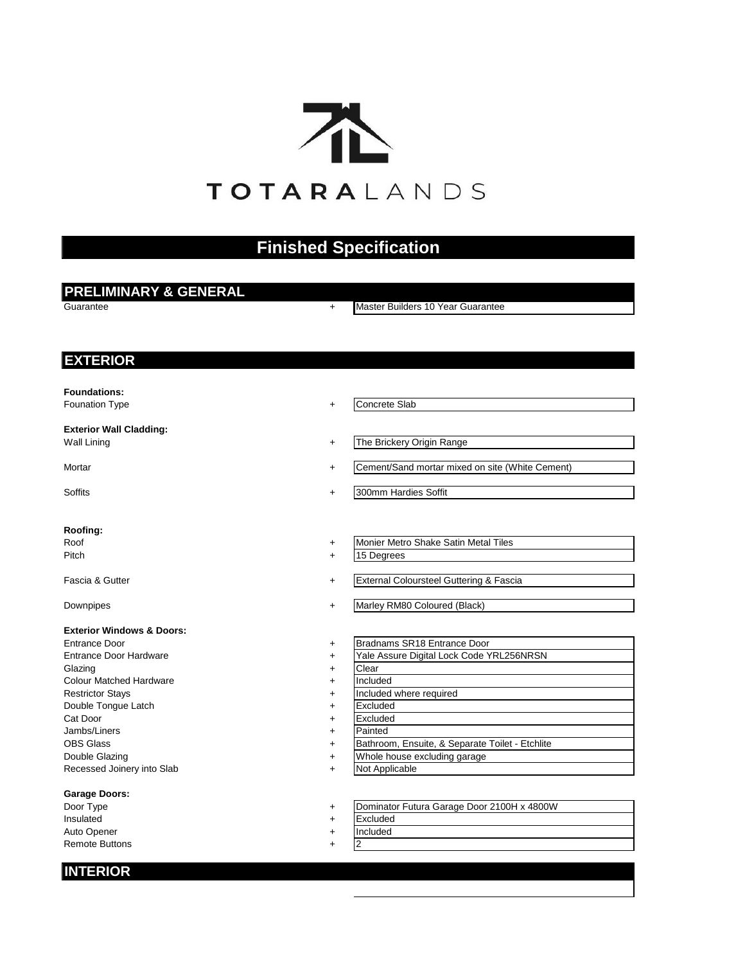

# **Finished Specification**

# **PRELIMINARY & GENERAL**

Guarantee +

Master Builders 10 Year Guarantee

# **EXTERIOR**

**Foundations:**

Founation Type  $+$ 

# **Exterior Wall Cladding:**

Wall Lining  $+$ 

Mortar  $+$ 

Soffits **+** 

# **Roofing:**

Roof  $+$ Pitch  $+$ 

Fascia & Gutter +

Downpipes +

# **Exterior Windows & Doors:**

Entrance Door + Entrance Door Hardware + Glazing  $+$ Colour Matched Hardware + Restrictor Stays **Figure 2.1 The State Stays + Included where required** Double Tongue Latch + Cat Door + Jambs/Liners + OBS Glass + Double Glazing  $+$ Recessed Joinery into Slab +

# **Garage Doors:**

Door Type  $+$ Insulated  $+$  Excluded Auto Opener + Remote Buttons

# Concrete Slab

- The Brickery Origin Range
- Cement/Sand mortar mixed on site (White Cement)
- 300mm Hardies Soffit
- Monier Metro Shake Satin Metal Tiles
- 15 Degrees
- External Coloursteel Guttering & Fascia
- Marley RM80 Coloured (Black)
- Bradnams SR18 Entrance Door
- Yale Assure Digital Lock Code YRL256NRSN
- Clear
- Included
- 
- Excluded
- Excluded
- Painted
- Bathroom, Ensuite, & Separate Toilet Etchlite
	- Whole house excluding garage
- Not Applicable
- Dominator Futura Garage Door 2100H x 4800W
	-
- Included
- 2

# **INTERIOR**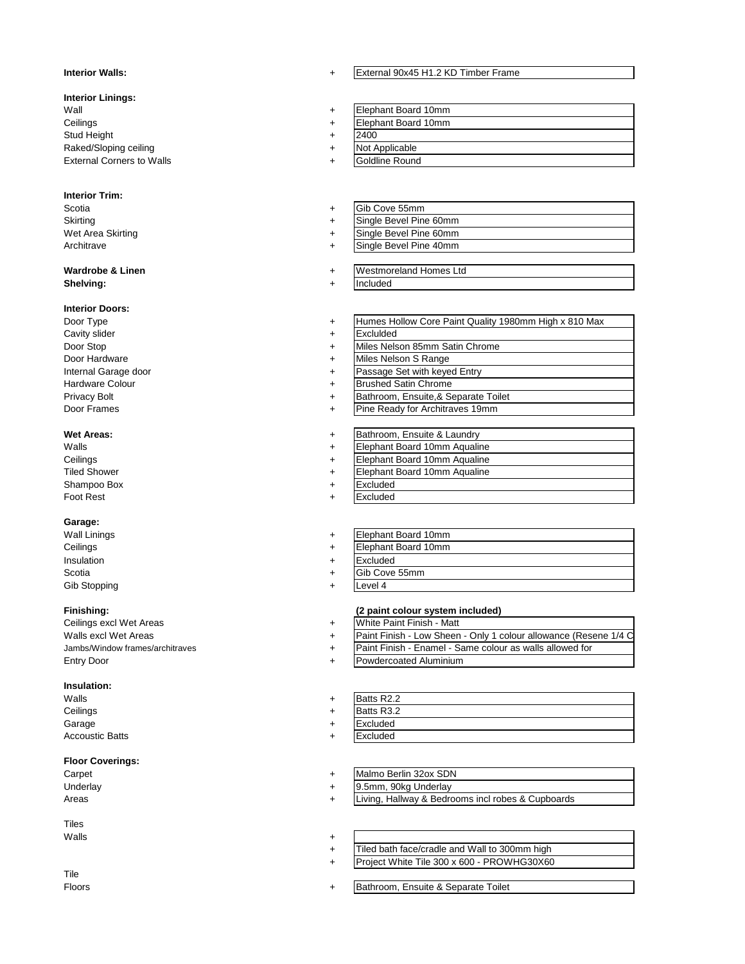#### **Interior Walls:** +

### **Interior Linings:**

 $\blacksquare$   $\blacksquare$   $\blacksquare$   $\blacksquare$   $\blacksquare$   $\blacksquare$   $\blacksquare$   $\blacksquare$   $\blacksquare$   $\blacksquare$   $\blacksquare$   $\blacksquare$   $\blacksquare$   $\blacksquare$   $\blacksquare$   $\blacksquare$   $\blacksquare$   $\blacksquare$   $\blacksquare$   $\blacksquare$   $\blacksquare$   $\blacksquare$   $\blacksquare$   $\blacksquare$   $\blacksquare$   $\blacksquare$   $\blacksquare$   $\blacksquare$   $\blacksquare$   $\blacksquare$   $\blacksquare$   $\blacks$ Ceilings + Stud Height + Raked/Sloping ceiling + External Corners to Walls +

## **Interior Trim:**

Scotia + Skirting + Wet Area Skirting + Architrave +

#### **Wardrobe & Linen**  $+$ **Shelving:** + Included

### **Interior Doors:**

Door Type  $+$ Cavity slider  $+$ Door Stop + Door Hardware + Internal Garage door + Hardware Colour + Privacy Bolt + Door Frames +

# **Wet Areas:** +

 $W$ alls  $+$ Ceilings Tiled Shower + Shampoo Box + Foot Rest

#### **Garage:**

Wall Linings **+** Ceilings + Insulation  $+$ Scotia + Gib Stopping +

Ceilings excl Wet Areas + Walls excl Wet Areas + Jambs/Window frames/architraves + **Entry Door** 

# **Insulation:**

 $W$ alls  $+$ Ceilings + Garage  $+$ Accoustic Batts +

# **Floor Coverings:**

Carpet + Underlay Areas  $+$ 

Tiles  $W$ alls  $+$ 

Tile Floors +

#### External 90x45 H1.2 KD Timber Frame

- 2400 Not Applicable Elephant Board 10mm Elephant Board 10mm
- Goldline Round

### Gib Cove 55mm Single Bevel Pine 60mm Single Bevel Pine 60mm

- Single Bevel Pine 40mm
- Westmoreland Homes Ltd
- Humes Hollow Core Paint Quality 1980mm High x 810 Max
- Exclulded
	- Miles Nelson 85mm Satin Chrome
	- Miles Nelson S Range
	- Passage Set with keyed Entry
	- Brushed Satin Chrome
	- Bathroom, Ensuite,& Separate Toilet
	- Pine Ready for Architraves 19mm

#### Bathroom, Ensuite & Laundry

- Elephant Board 10mm Aqualine
- Elephant Board 10mm Aqualine
- Elephant Board 10mm Aqualine
	- **Excluded** Excluded
	-
- Elephant Board 10mm Elephant Board 10mm
- 
- Gib Cove 55mm Excluded
- Level 4
- 

# **Finishing: (2 paint colour system included)**

- White Paint Finish Matt
- Paint Finish Low Sheen Only 1 colour allowance (Resene 1/4 C
- Paint Finish Enamel Same colour as walls allowed for
- Powdercoated Aluminium

## Batts R2.2 Excluded **Excluded** Batts R3.2

## Malmo Berlin 32ox SDN

- 9.5mm, 90kg Underlay
- Living, Hallway & Bedrooms incl robes & Cupboards

- + Tiled bath face/cradle and Wall to 300mm high
- + Project White Tile 300 x 600 - PROWHG30X60
	- Bathroom, Ensuite & Separate Toilet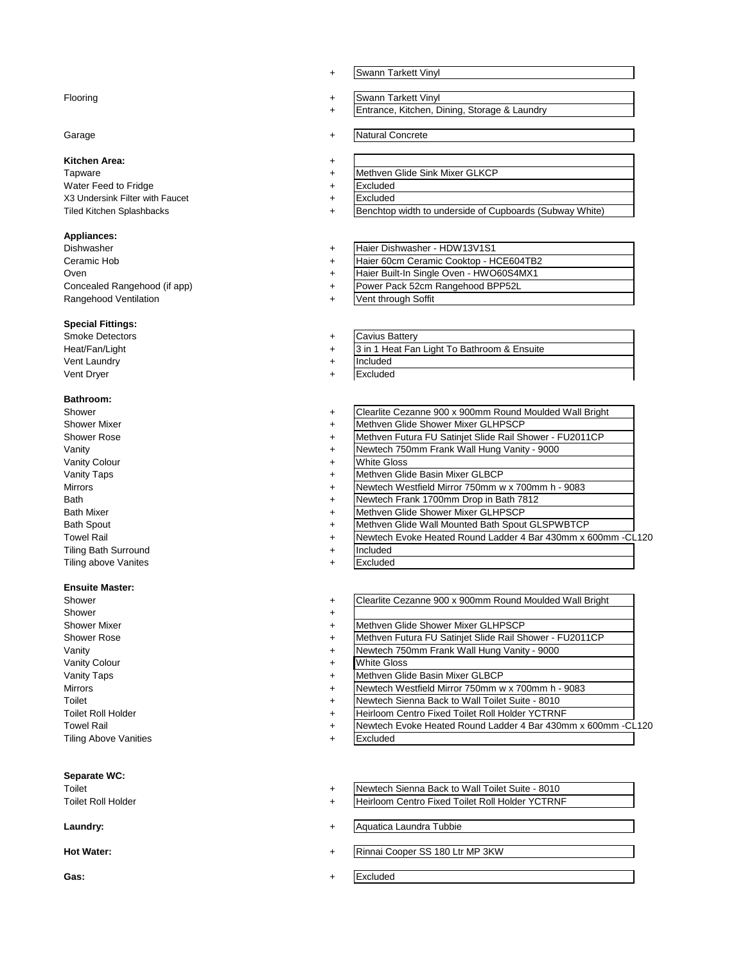#### Flooring  $+$

# Garage  $+$

# **Kitchen Area:** +

Tapware  $+$ Water Feed to Fridge  $+$ X3 Undersink Filter with Faucet + Tiled Kitchen Splashbacks +

## **Appliances:**

Dishwasher + Ceramic Hob + Oven  $+$ Concealed Rangehood (if app) + Rangehood Ventilation +

#### **Special Fittings:**

Smoke Detectors + Heat/Fan/Light + Vent Laundry **+** Vent Dryer

#### **Bathroom:**

Shower  $+$ Shower Mixer +  $+$ Shower Rose + Vanity **the second of the second of the second of the second of the second of the second of the second of the second of the second of the second of the second of the second of the second of the second of the second of the** Vanity Colour + Vanity Taps + Mirrors **+**  $Bath +$ **Bath Mixer** Bath Spout + Tiling Bath Surround + **Tiling above Vanites** 

#### **Ensuite Master:**

| Shower                       | $\ddot{}$ |
|------------------------------|-----------|
| Shower                       | $\ddot{}$ |
| <b>Shower Mixer</b>          | $\ddot{}$ |
| <b>Shower Rose</b>           | $\ddot{}$ |
| Vanity                       | $\ddot{}$ |
| <b>Vanity Colour</b>         | $\ddot{}$ |
| <b>Vanity Taps</b>           | $\ddot{}$ |
| <b>Mirrors</b>               | $\ddot{}$ |
| Toilet                       | $\ddot{}$ |
| <b>Toilet Roll Holder</b>    | $\ddot{}$ |
| <b>Towel Rail</b>            | $\ddot{}$ |
| <b>Tiling Above Vanities</b> | ÷         |
|                              |           |

# **Separate WC:**

#### **Laundry:** +

**Hot Water:** +

**Gas:** +

- + Swann Tarkett Vinyl
- Swann Tarkett Vinyl
- + Entrance, Kitchen, Dining, Storage & Laundry
- Natural Concrete
- - Methven Glide Sink Mixer GLKCP
	- **Excluded**
- Excluded
- Benchtop width to underside of Cupboards (Subway White)
- Haier 60cm Ceramic Cooktop HCE604TB2 Haier Dishwasher - HDW13V1S1 Haier Built-In Single Oven - HWO60S4MX1 Power Pack 52cm Rangehood BPP52L
- Vent through Soffit
- Cavius Battery
- 3 in 1 Heat Fan Light To Bathroom & Ensuite
	- Included
- Excluded
- Clearlite Cezanne 900 x 900mm Round Moulded Wall Bright
- Methven Glide Shower Mixer GLHPSCP
- Methven Futura FU Satinjet Slide Rail Shower FU2011CP
- Newtech 750mm Frank Wall Hung Vanity 9000
	- White Gloss
- Methven Glide Basin Mixer GLBCP
- Newtech Westfield Mirror 750mm w x 700mm h 9083
- Newtech Frank 1700mm Drop in Bath 7812
- Methven Glide Shower Mixer GLHPSCP
- Methven Glide Wall Mounted Bath Spout GLSPWBTCP
- Towel Rail **Figure 1.120 + The Mewtech Evoke Heated Round Ladder 4 Bar 430mm x 600mm -CL120** 
	- Included
		- Excluded

Clearlite Cezanne 900 x 900mm Round Moulded Wall Bright

- Methven Glide Shower Mixer GLHPSCP
- Methven Futura FU Satinjet Slide Rail Shower FU2011CP
- Newtech 750mm Frank Wall Hung Vanity 9000
- White Gloss
- Methven Glide Basin Mixer GLBCP
- Newtech Westfield Mirror 750mm w x 700mm h 9083
- Newtech Sienna Back to Wall Toilet Suite 8010
- Heirloom Centro Fixed Toilet Roll Holder YCTRNF
- + Newtech Evoke Heated Round Ladder 4 Bar 430mm x 600mm -CL120
- Excluded
- Toilet **The Community Community 19 and 19 and 19 and 19 and 19 and 19 and 19 and 19 and 19 and 19 and 19 and 19 and 19 and 19 and 19 and 19 and 19 and 19 and 19 and 19 and 19 and 19 and 19 and 19 and 19 and 19 and 19 and 1**
- Toilet Roll Holder **Total Collection** + Heirloom Centro Fixed Toilet Roll Holder YCTRNF
	- Aquatica Laundra Tubbie
	- Rinnai Cooper SS 180 Ltr MP 3KW
	- Excluded